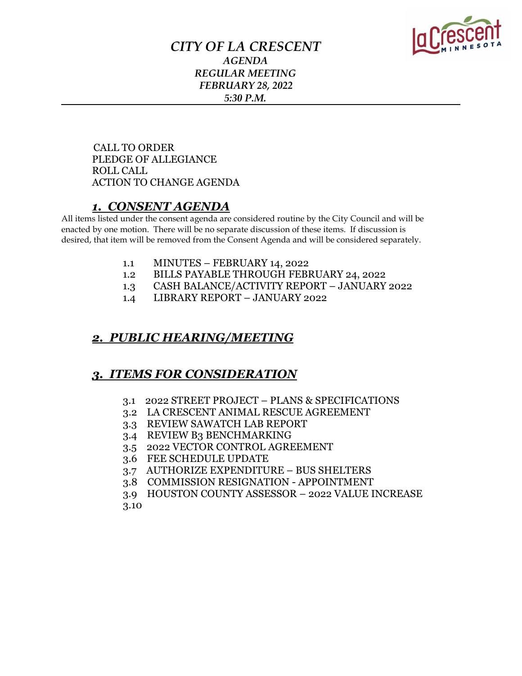

#### *CITY OF LA CRESCENT AGENDA REGULAR MEETING FEBRUARY 28, 2022 5:30 P.M.*

 CALL TO ORDER PLEDGE OF ALLEGIANCE ROLL CALL ACTION TO CHANGE AGENDA

#### *1. CONSENT AGENDA*

All items listed under the consent agenda are considered routine by the City Council and will be enacted by one motion. There will be no separate discussion of these items. If discussion is desired, that item will be removed from the Consent Agenda and will be considered separately.

- 1.1 MINUTES FEBRUARY 14, 2022
- 1.2 BILLS PAYABLE THROUGH FEBRUARY 24, 2022
- 1.3 CASH BALANCE/ACTIVITY REPORT JANUARY 2022
- 1.4 LIBRARY REPORT JANUARY 2022

#### *2. PUBLIC HEARING/MEETING*

#### *3. ITEMS FOR CONSIDERATION*

- 3.1 2022 STREET PROJECT PLANS & SPECIFICATIONS
- 3.2 LA CRESCENT ANIMAL RESCUE AGREEMENT
- 3.3 REVIEW SAWATCH LAB REPORT
- 3.4 REVIEW B3 BENCHMARKING
- 3.5 2022 VECTOR CONTROL AGREEMENT
- 3.6 FEE SCHEDULE UPDATE
- 3.7 AUTHORIZE EXPENDITURE BUS SHELTERS
- 3.8 COMMISSION RESIGNATION APPOINTMENT
- 3.9 HOUSTON COUNTY ASSESSOR 2022 VALUE INCREASE

3.10